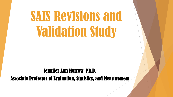# SAIS Revisions and Validation Study

#### Jennifer Ann Morrow, Ph.D.

Associate Professor of Evaluation, Statistics, and Measurement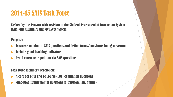# 2014-15 SAIS Task Force

Tasked by the Provost with revision of the Student Assessment of Instruction System (SAIS) questionnaire and delivery system.

Purpose:

- Decrease number of SAIS questions and define terms/constructs being measured
- Include good teaching indicators
- Avoid construct repetition via SAIS questions.

Task force members developed:

- A core set of 11 End of Course (EOC) evaluation questions
- Suggested supplemental questions (discussion, lab, online).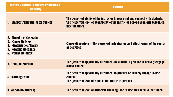| <b>Marsh's 9 Factors in Student Evaluation of</b><br><b>Teaching</b>                                                                                  | <b>Construct</b>                                                                                                                                                                      |
|-------------------------------------------------------------------------------------------------------------------------------------------------------|---------------------------------------------------------------------------------------------------------------------------------------------------------------------------------------|
| <b>Rapport/Enthusiasm for Subject</b>                                                                                                                 | The perceived ability of the instructor to reach out and connect with students.<br>The perceived level of availability of the instructor beyond regularly scheduled<br>meeting times. |
| 2. Breadth of Coverage<br>3.<br><b>Course Delivery</b><br>Organization/Clarity<br>4.<br><b>Grading (feedback)</b><br>5.<br><b>6. Course Resources</b> | Course dimensions – The perceived organization and effectiveness of the course<br>as delivered.                                                                                       |
| <b>7. Group Interaction</b>                                                                                                                           | The perceived opportunity for student-to-student to practice or actively engage<br>course content.                                                                                    |
| 8. Learning/Value                                                                                                                                     | The perceived opportunity for student to practice or actively engage course<br>content.<br>The perceived level of value of the course experience                                      |
| <b>9. Workload/Difficulty</b>                                                                                                                         | The perceived level of academic challenge the course presented to the student.                                                                                                        |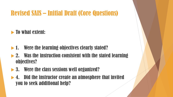# Revised SAIS – Initial Draft (Core Questions)

 $\blacktriangleright$  To what extent:

- ▶ 1. Were the learning objectives clearly stated?
- $\blacktriangleright$  2. Was the instruction consistent with the stated learning objectives?
- ▶ 3. Were the class sessions well organized?
- 4. Did the instructor create an atmosphere that invited you to seek additional help?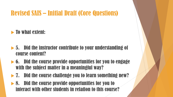# Revised SAIS – Initial Draft (Core Questions)

 $\blacktriangleright$  To what extent:

- $\blacktriangleright$  5. Did the instructor contribute to your understanding of course content?
- $\blacktriangleright$  6. Did the course provide opportunities for you to engage with the subject matter in a meaningful way?
- ▶ 7. Did the course challenge you to learn something new?
- ▶ 8. Did the course provide opportunities for you to interact with other students in relation to this course?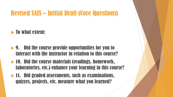# Revised SAIS – Initial Draft (Core Questions)

 $\blacktriangleright$  To what extent:

- ▶ 9. Did the course provide opportunities for you to interact with the instructor in relation to this course?
- ▶ 10. Did the course materials (readings, homework, laboratories, etc.) enhance your learning in this course?
- $\blacktriangleright$  11. Did graded assessments, such as examinations, quizzes, projects, etc. measure what you learned?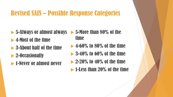# Revised SAIS – Possible Response Categories

- ▶ 5-Always or almost always ▶ 5-More than 80% of the
- ▶ 4-Most of the time
- 3-About half of the time
- ▶ 2-Occasionally
- **1-Never or almost never**
- time
- $\blacktriangleright$  4-60% to 80% of the time
- $\blacktriangleright$  3-40% to 60% of the time
- $\blacktriangleright$  2-20% to 40% of the time
- **1-Less than 20% of the time**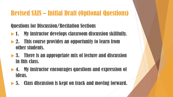## Questions for Discussion/Recitation Sections

- $\blacktriangleright$  1. My instructor develops classroom discussion skillfully.
- ▶ 2. This course provides an opportunity to learn from other students.
- ▶ 3. There is an appropriate mix of lecture and discussion in this class.
- ▶ 4. My instructor encourages questions and expression of ideas.
- 5. Class discussion is kept on track and moving forward.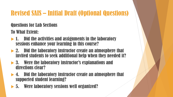## Questions for Lab Sections

To What Extent:

- $\blacktriangleright$  1. Did the activities and assignments in the laboratory sessions enhance your learning in this course?
- 2. Did the laboratory instructor create an atmosphere that invited students to seek additional help when they needed it?
- 3. Were the laboratory instructor's explanations and directions clear?
- ▶ 4. Did the laboratory instructor create an atmosphere that supported student learning?
- 5. Were laboratory sessions well organized?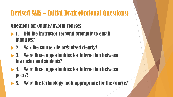## Questions for Online/Hybrid Courses

- $\blacktriangleright$  1. Did the instructor respond promptly to email inquiries?
- ▶ 2. Was the course site organized clearly?
- ▶ 3. Were there opportunities for interaction between instructor and students?
- ▶ 4. Were there opportunities for interaction between peers?
- $\blacktriangleright$  5. Were the technology tools appropriate for the course?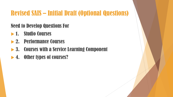## Need to Develop Questions For

- **1. Studio Courses**
- ▶ 2. Performance Courses
- ▶ 3. Courses with a Service Learning Component
- ▶ 4. Other types of courses?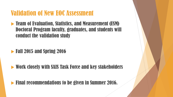## Validation of New EOC Assessment

**EXAMERET EVALUATION, STATISTICS, and Measurement (ESM)** Doctoral Program faculty, graduates, and students will conduct the validation study

## $\blacktriangleright$  Fall 2015 and Spring 2016

Work closely with SAIS Task Force and key stakeholders

## **Final recommendations to be given in Summer 2016.**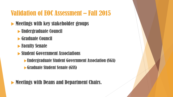# Validation of EOC Assessment – Fall 2015

## Meetings with key stakeholder groups

- Undergraduate Council
- Graduate Council
- **Faculty Senate**
- Student Government Associations
	- Undergraduate Student Government Association (SGA)
	- Graduate Student Senate (GSS)

## Meetings with Deans and Department Chairs.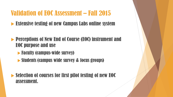# Validation of EOC Assessment – Fall 2015

- Extensive testing of new Campus Labs online system
- **Perceptions of New End of Course (EOC) instrument and** EOC purpose and use
	- **Faculty (campus-wide survey)**
	- **Students (campus wide survey & focus groups)**
- Selection of courses for first pilot testing of new EOC assessment.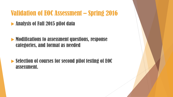# Validation of EOC Assessment – Spring 2016

## **• Analysis of Fall 2015 pilot data**

#### Modifications to assessment questions, response categories, and format as needed

## Selection of courses for second pilot testing of EOC assessment.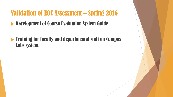# Validation of EOC Assessment – Spring 2016

**Development of Course Evaluation System Guide** 

 $\blacktriangleright$  Training for faculty and departmental staff on Campus Labs system.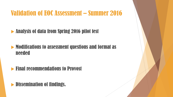# Validation of EOC Assessment – Summer 2016

## **Analysis of data from Spring 2016 pilot test**

#### Modifications to assessment questions and format as needed

## **Final recommendations to Provost**

## Dissemination of findings.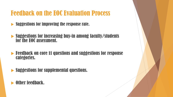# Feedback on the EOC Evaluation Process

- Suggestions for improving the response rate.
- Suggestions for increasing buy-in among faculty/students for the EOC assessment.
- Feedback on core 11 questions and suggestions for response categories.
- Suggestions for supplemental questions.

#### Other feedback.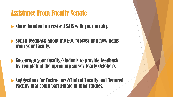# Assistance From Faculty Senate

- **Share handout on revised SAIS with your faculty.**
- Solicit feedback about the EOC process and new items from your faculty.
- Encourage your faculty/students to provide feedback by completing the upcoming survey (early October).
- Suggestions for Instructors/Clinical Faculty and Tenured Faculty that could participate in pilot studies.